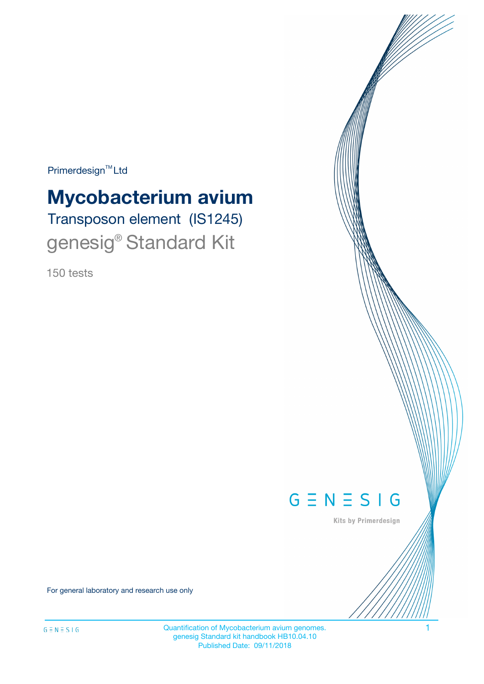Primerdesign<sup>™</sup>Ltd

# **Mycobacterium avium**

Transposon element (IS1245) genesig<sup>®</sup> Standard Kit

150 tests



Kits by Primerdesign

For general laboratory and research use only

Quantification of Mycobacterium avium genomes. 1 genesig Standard kit handbook HB10.04.10 Published Date: 09/11/2018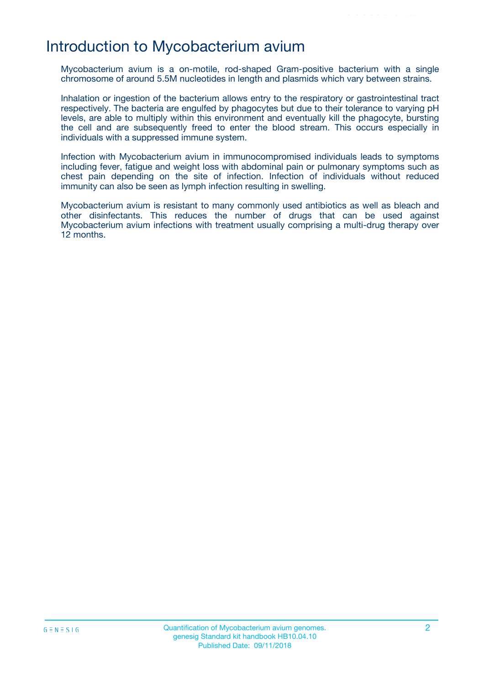### Introduction to Mycobacterium avium

Mycobacterium avium is a on-motile, rod-shaped Gram-positive bacterium with a single chromosome of around 5.5M nucleotides in length and plasmids which vary between strains.

Inhalation or ingestion of the bacterium allows entry to the respiratory or gastrointestinal tract respectively. The bacteria are engulfed by phagocytes but due to their tolerance to varying pH levels, are able to multiply within this environment and eventually kill the phagocyte, bursting the cell and are subsequently freed to enter the blood stream. This occurs especially in individuals with a suppressed immune system.

Infection with Mycobacterium avium in immunocompromised individuals leads to symptoms including fever, fatigue and weight loss with abdominal pain or pulmonary symptoms such as chest pain depending on the site of infection. Infection of individuals without reduced immunity can also be seen as lymph infection resulting in swelling.

Mycobacterium avium is resistant to many commonly used antibiotics as well as bleach and other disinfectants. This reduces the number of drugs that can be used against Mycobacterium avium infections with treatment usually comprising a multi-drug therapy over 12 months.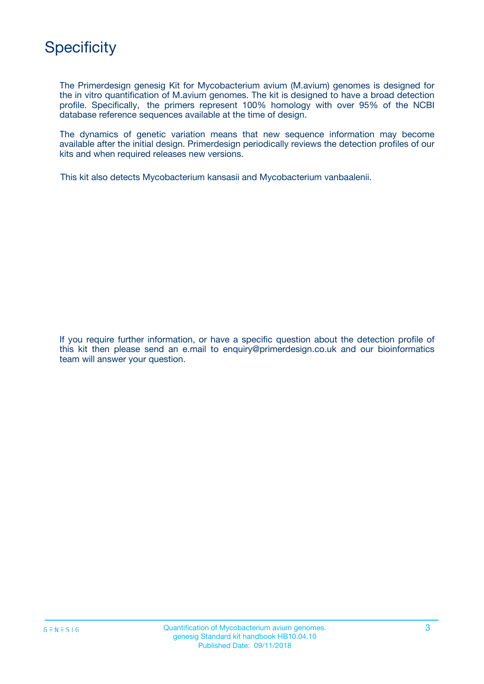# **Specificity**

The Primerdesign genesig Kit for Mycobacterium avium (M.avium) genomes is designed for the in vitro quantification of M.avium genomes. The kit is designed to have a broad detection profile. Specifically, the primers represent 100% homology with over 95% of the NCBI database reference sequences available at the time of design.

The dynamics of genetic variation means that new sequence information may become available after the initial design. Primerdesign periodically reviews the detection profiles of our kits and when required releases new versions.

This kit also detects Mycobacterium kansasii and Mycobacterium vanbaalenii.

If you require further information, or have a specific question about the detection profile of this kit then please send an e.mail to enquiry@primerdesign.co.uk and our bioinformatics team will answer your question.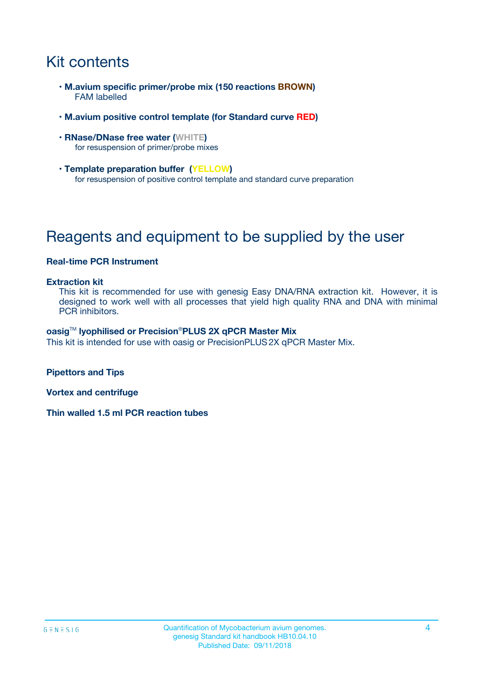# Kit contents

- **M.avium specific primer/probe mix (150 reactions BROWN)** FAM labelled
- **M.avium positive control template (for Standard curve RED)**
- **RNase/DNase free water (WHITE)** for resuspension of primer/probe mixes
- **Template preparation buffer (YELLOW)** for resuspension of positive control template and standard curve preparation

# Reagents and equipment to be supplied by the user

#### **Real-time PCR Instrument**

#### **Extraction kit**

This kit is recommended for use with genesig Easy DNA/RNA extraction kit. However, it is designed to work well with all processes that yield high quality RNA and DNA with minimal PCR inhibitors.

#### **oasig**TM **lyophilised or Precision**®**PLUS 2X qPCR Master Mix**

This kit is intended for use with oasig or PrecisionPLUS2X qPCR Master Mix.

**Pipettors and Tips**

**Vortex and centrifuge**

**Thin walled 1.5 ml PCR reaction tubes**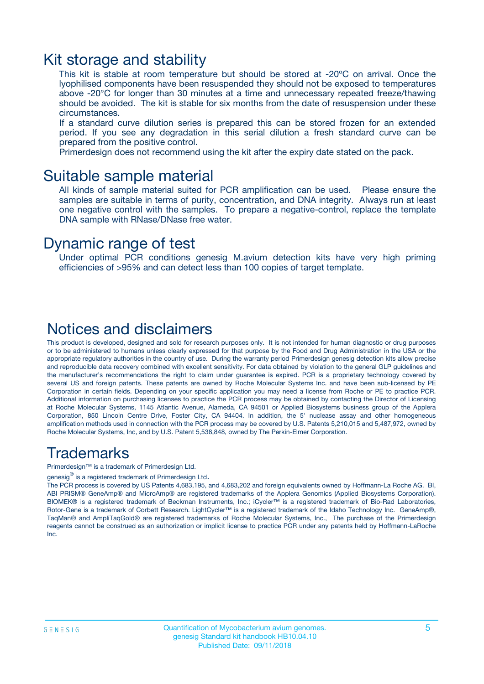### Kit storage and stability

This kit is stable at room temperature but should be stored at -20ºC on arrival. Once the lyophilised components have been resuspended they should not be exposed to temperatures above -20°C for longer than 30 minutes at a time and unnecessary repeated freeze/thawing should be avoided. The kit is stable for six months from the date of resuspension under these circumstances.

If a standard curve dilution series is prepared this can be stored frozen for an extended period. If you see any degradation in this serial dilution a fresh standard curve can be prepared from the positive control.

Primerdesign does not recommend using the kit after the expiry date stated on the pack.

### Suitable sample material

All kinds of sample material suited for PCR amplification can be used. Please ensure the samples are suitable in terms of purity, concentration, and DNA integrity. Always run at least one negative control with the samples. To prepare a negative-control, replace the template DNA sample with RNase/DNase free water.

### Dynamic range of test

Under optimal PCR conditions genesig M.avium detection kits have very high priming efficiencies of >95% and can detect less than 100 copies of target template.

### Notices and disclaimers

This product is developed, designed and sold for research purposes only. It is not intended for human diagnostic or drug purposes or to be administered to humans unless clearly expressed for that purpose by the Food and Drug Administration in the USA or the appropriate regulatory authorities in the country of use. During the warranty period Primerdesign genesig detection kits allow precise and reproducible data recovery combined with excellent sensitivity. For data obtained by violation to the general GLP guidelines and the manufacturer's recommendations the right to claim under guarantee is expired. PCR is a proprietary technology covered by several US and foreign patents. These patents are owned by Roche Molecular Systems Inc. and have been sub-licensed by PE Corporation in certain fields. Depending on your specific application you may need a license from Roche or PE to practice PCR. Additional information on purchasing licenses to practice the PCR process may be obtained by contacting the Director of Licensing at Roche Molecular Systems, 1145 Atlantic Avenue, Alameda, CA 94501 or Applied Biosystems business group of the Applera Corporation, 850 Lincoln Centre Drive, Foster City, CA 94404. In addition, the 5' nuclease assay and other homogeneous amplification methods used in connection with the PCR process may be covered by U.S. Patents 5,210,015 and 5,487,972, owned by Roche Molecular Systems, Inc, and by U.S. Patent 5,538,848, owned by The Perkin-Elmer Corporation.

### Trademarks

Primerdesign™ is a trademark of Primerdesign Ltd.

genesig $^\circledR$  is a registered trademark of Primerdesign Ltd.

The PCR process is covered by US Patents 4,683,195, and 4,683,202 and foreign equivalents owned by Hoffmann-La Roche AG. BI, ABI PRISM® GeneAmp® and MicroAmp® are registered trademarks of the Applera Genomics (Applied Biosystems Corporation). BIOMEK® is a registered trademark of Beckman Instruments, Inc.; iCycler™ is a registered trademark of Bio-Rad Laboratories, Rotor-Gene is a trademark of Corbett Research. LightCycler™ is a registered trademark of the Idaho Technology Inc. GeneAmp®, TaqMan® and AmpliTaqGold® are registered trademarks of Roche Molecular Systems, Inc., The purchase of the Primerdesign reagents cannot be construed as an authorization or implicit license to practice PCR under any patents held by Hoffmann-LaRoche Inc.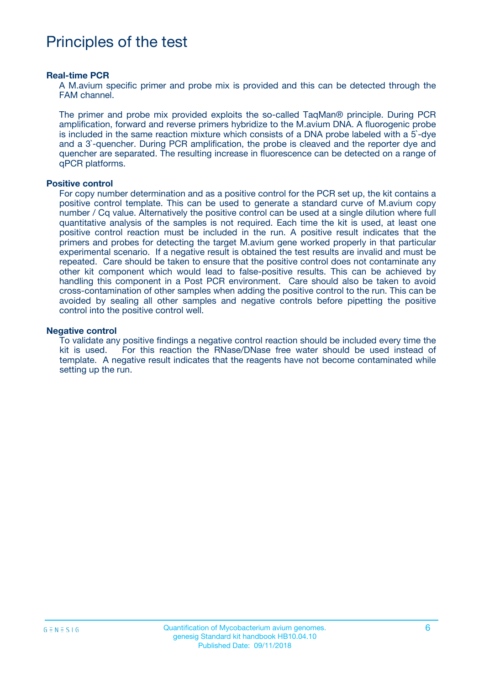## Principles of the test

#### **Real-time PCR**

A M.avium specific primer and probe mix is provided and this can be detected through the FAM channel.

The primer and probe mix provided exploits the so-called TaqMan® principle. During PCR amplification, forward and reverse primers hybridize to the M.avium DNA. A fluorogenic probe is included in the same reaction mixture which consists of a DNA probe labeled with a 5`-dye and a 3`-quencher. During PCR amplification, the probe is cleaved and the reporter dye and quencher are separated. The resulting increase in fluorescence can be detected on a range of qPCR platforms.

#### **Positive control**

For copy number determination and as a positive control for the PCR set up, the kit contains a positive control template. This can be used to generate a standard curve of M.avium copy number / Cq value. Alternatively the positive control can be used at a single dilution where full quantitative analysis of the samples is not required. Each time the kit is used, at least one positive control reaction must be included in the run. A positive result indicates that the primers and probes for detecting the target M.avium gene worked properly in that particular experimental scenario. If a negative result is obtained the test results are invalid and must be repeated. Care should be taken to ensure that the positive control does not contaminate any other kit component which would lead to false-positive results. This can be achieved by handling this component in a Post PCR environment. Care should also be taken to avoid cross-contamination of other samples when adding the positive control to the run. This can be avoided by sealing all other samples and negative controls before pipetting the positive control into the positive control well.

#### **Negative control**

To validate any positive findings a negative control reaction should be included every time the kit is used. For this reaction the RNase/DNase free water should be used instead of template. A negative result indicates that the reagents have not become contaminated while setting up the run.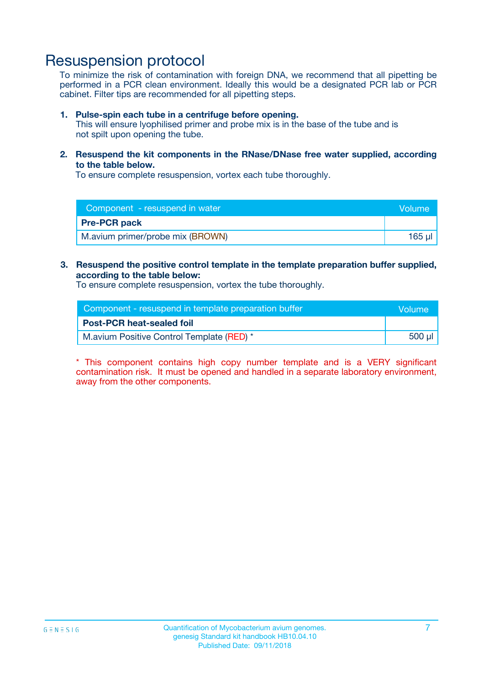### Resuspension protocol

To minimize the risk of contamination with foreign DNA, we recommend that all pipetting be performed in a PCR clean environment. Ideally this would be a designated PCR lab or PCR cabinet. Filter tips are recommended for all pipetting steps.

#### **1. Pulse-spin each tube in a centrifuge before opening.**

This will ensure lyophilised primer and probe mix is in the base of the tube and is not spilt upon opening the tube.

**2. Resuspend the kit components in the RNase/DNase free water supplied, according to the table below.**

To ensure complete resuspension, vortex each tube thoroughly.

| Component - resuspend in water<br><b>Volume</b> |             |
|-------------------------------------------------|-------------|
| <b>Pre-PCR pack</b>                             |             |
| M.avium primer/probe mix (BROWN)                | $165$ $\mu$ |

#### **3. Resuspend the positive control template in the template preparation buffer supplied, according to the table below:**

To ensure complete resuspension, vortex the tube thoroughly.

| Component - resuspend in template preparation buffer |        |  |
|------------------------------------------------------|--------|--|
| <b>Post-PCR heat-sealed foil</b>                     |        |  |
| M.avium Positive Control Template (RED) *            | 500 µl |  |

\* This component contains high copy number template and is a VERY significant contamination risk. It must be opened and handled in a separate laboratory environment, away from the other components.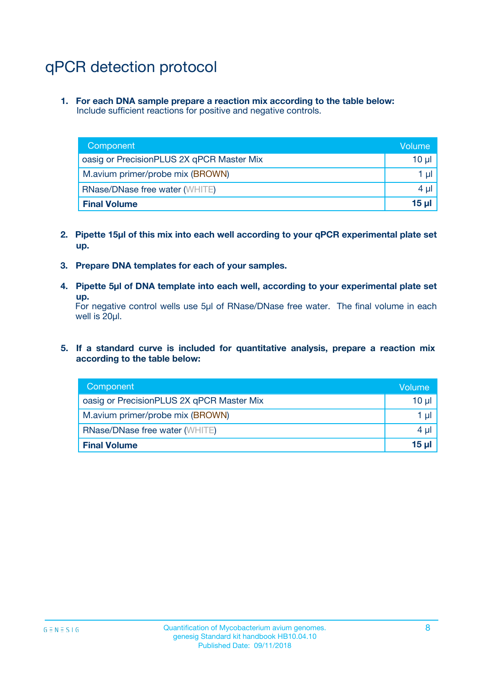# qPCR detection protocol

**1. For each DNA sample prepare a reaction mix according to the table below:** Include sufficient reactions for positive and negative controls.

| Component                                 | Volume   |
|-------------------------------------------|----------|
| oasig or PrecisionPLUS 2X qPCR Master Mix | 10 $\mu$ |
| M.avium primer/probe mix (BROWN)          | 1 $\mu$  |
| <b>RNase/DNase free water (WHITE)</b>     | $4 \mu$  |
| <b>Final Volume</b>                       | $15 \mu$ |

- **2. Pipette 15µl of this mix into each well according to your qPCR experimental plate set up.**
- **3. Prepare DNA templates for each of your samples.**
- **4. Pipette 5µl of DNA template into each well, according to your experimental plate set up.**

For negative control wells use 5µl of RNase/DNase free water. The final volume in each well is 20µl.

**5. If a standard curve is included for quantitative analysis, prepare a reaction mix according to the table below:**

| Component                                 | Volume     |
|-------------------------------------------|------------|
| oasig or PrecisionPLUS 2X qPCR Master Mix | 10 µl      |
| M.avium primer/probe mix (BROWN)          | 1 µI       |
| <b>RNase/DNase free water (WHITE)</b>     | $4 \mu$    |
| <b>Final Volume</b>                       | $15$ $\mu$ |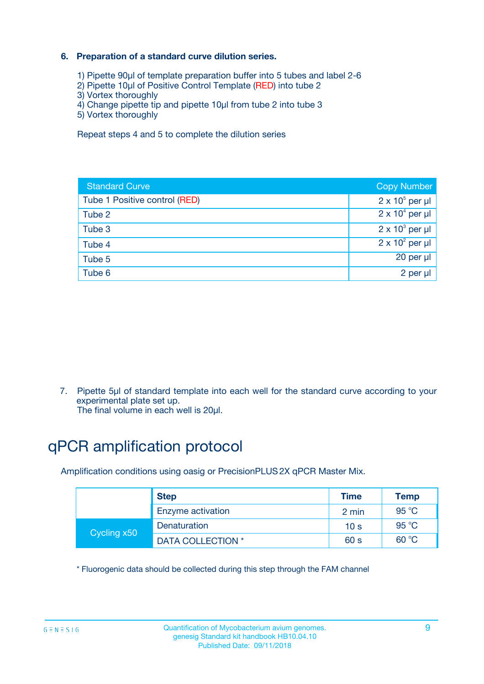### **6. Preparation of a standard curve dilution series.**

- 1) Pipette 90µl of template preparation buffer into 5 tubes and label 2-6
- 2) Pipette 10µl of Positive Control Template (RED) into tube 2
- 3) Vortex thoroughly
- 4) Change pipette tip and pipette 10µl from tube 2 into tube 3
- 5) Vortex thoroughly

Repeat steps 4 and 5 to complete the dilution series

| <b>Standard Curve</b>         | <b>Copy Number</b>     |
|-------------------------------|------------------------|
| Tube 1 Positive control (RED) | $2 \times 10^5$ per µl |
| Tube 2                        | $2 \times 10^4$ per µl |
| Tube 3                        | $2 \times 10^3$ per µl |
| Tube 4                        | $2 \times 10^2$ per µl |
| Tube 5                        | 20 per µl              |
| Tube 6                        | 2 per ul               |

7. Pipette 5µl of standard template into each well for the standard curve according to your experimental plate set up.

The final volume in each well is 20µl.

# qPCR amplification protocol

Amplification conditions using oasig or PrecisionPLUS2X qPCR Master Mix.

|             | <b>Step</b>       | <b>Time</b>     | Temp    |
|-------------|-------------------|-----------------|---------|
|             | Enzyme activation | 2 min           | 95 °C   |
| Cycling x50 | Denaturation      | 10 <sub>s</sub> | 95 $°C$ |
|             | DATA COLLECTION * | 60 s            | 60 °C   |

\* Fluorogenic data should be collected during this step through the FAM channel